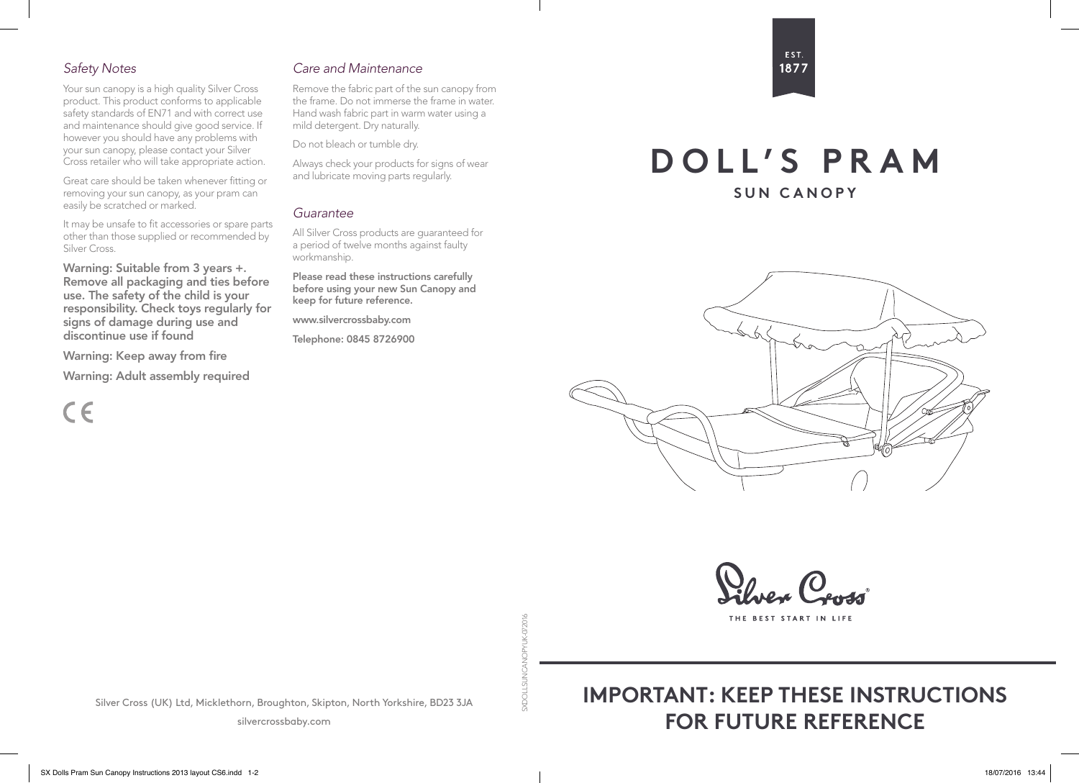# *Safety Notes*

Your sun canopy is a high quality Silver Cross product. This product conforms to applicable safety standards of EN71 and with correct use and maintenance should give good service. If however you should have any problems with your sun canopy, please contact your Silver Cross retailer who will take appropriate action.

Great care should be taken whenever fitting or removing your sun canopy, as your pram can easily be scratched or marked.

It may be unsafe to fit accessories or spare parts other than those supplied or recommended by Silver Cross.

Warning: Suitable from 3 years +. Remove all packaging and ties before use. The safety of the child is your responsibility. Check toys regularly for signs of damage during use and discontinue use if found

Warning: Keep away from fire

Warning: Adult assembly required

 $\epsilon$ 

# *Care and Maintenance*

Remove the fabric part of the sun canopy from the frame. Do not immerse the frame in water. Hand wash fabric part in warm water using a mild detergent. Dry naturally.

Do not bleach or tumble dry.

Always check your products for signs of wear and lubricate moving parts regularly.

### *Guarantee*

All Silver Cross products are guaranteed for a period of twelve months against faulty workmanship.

Please read these instructions carefully before using your new Sun Canopy and keep for future reference.

www.silvercrossbaby.com

Telephone: 0845 8726900

# EST. 1877

**DOLL'S PRAM**

**SUN CANOPY**



THE BEST START IN LIFI

**9102/0-XILV** SXDOLLSUNCANOPYUK-072016 g

Silver Cross (UK) Ltd, Micklethorn, Broughton, Skipton, North Yorkshire, BD23 3JA

silvercrossbaby.com

# **IMPORTANT: KEEP THESE INSTRUCTIONS FOR FUTURE REFERENCE**

SX Dolls Pram Sun Canopy Instructions 2013 layout CS6.indd 1-2 18/07/2016 13:44